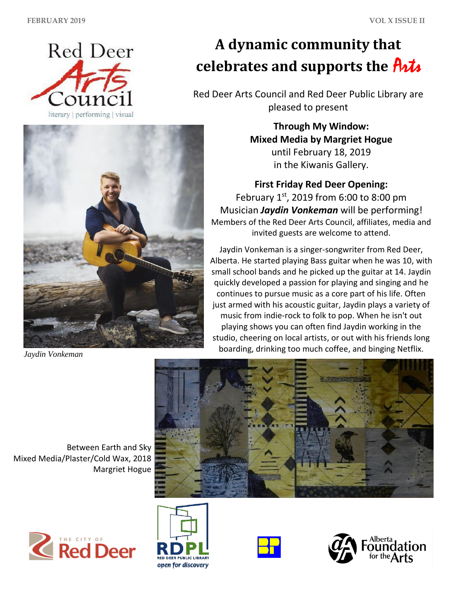

# **A dynamic community that celebrates and supports the Arts**

Red Deer Arts Council and Red Deer Public Library are pleased to present

> **Through My Window: Mixed Media by Margriet Hogue** until February 18, 2019 in the Kiwanis Gallery.

**First Friday Red Deer Opening:**  February  $1<sup>st</sup>$ , 2019 from 6:00 to 8:00 pm Musician *Jaydin Vonkeman* will be performing! Members of the Red Deer Arts Council, affiliates, media and invited guests are welcome to attend.

Jaydin Vonkeman is a singer-songwriter from Red Deer, Alberta. He started playing Bass guitar when he was 10, with small school bands and he picked up the guitar at 14. Jaydin quickly developed a passion for playing and singing and he continues to pursue music as a core part of his life. Often just armed with his acoustic guitar, Jaydin plays a variety of music from indie-rock to folk to pop. When he isn't out playing shows you can often find Jaydin working in the studio, cheering on local artists, or out with his friends long boarding, drinking too much coffee, and binging Netflix.



Between Earth and Sky

Margriet Hogue

*Jaydin Vonkeman*





Mixed Media/Plaster/Cold Wax, 2018





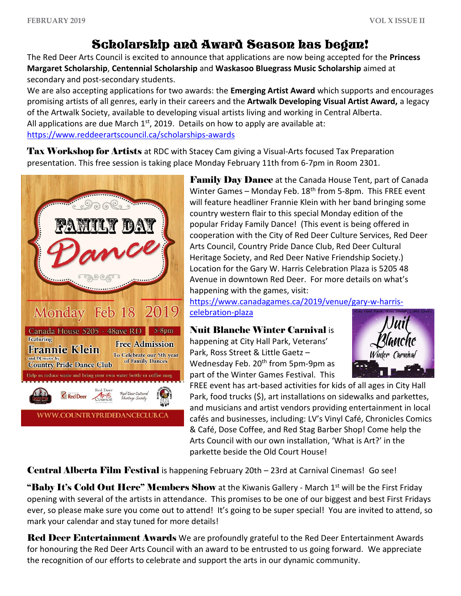# Scholarship and Award Season has begun!

The Red Deer Arts Council is excited to announce that applications are now being accepted for the **Princess Margaret Scholarship**, **Centennial Scholarship** and **Waskasoo Bluegrass Music Scholarship** aimed at secondary and post-secondary students.

We are also accepting applications for two awards: the **Emerging Artist Award** which supports and encourages promising artists of all genres, early in their careers and the **Artwalk Developing Visual Artist Award,** a legacy of the Artwalk Society, available to developing visual artists living and working in Central Alberta. All applications are due March  $1<sup>st</sup>$ , 2019. Details on how to apply are available at: <https://www.reddeerartscouncil.ca/scholarships-awards>

**Tax Workshop for Artists** at RDC with Stacey Cam giving a Visual-Arts focused Tax Preparation presentation. This free session is taking place Monday February 11th from 6-7pm in Room 2301.



**Family Day Dance** at the Canada House Tent, part of Canada Winter Games – Monday Feb.  $18<sup>th</sup>$  from 5-8pm. This FREE event will feature headliner Frannie Klein with her band bringing some country western flair to this special Monday edition of the popular Friday Family Dance! (This event is being offered in cooperation with the City of Red Deer Culture Services, Red Deer Arts Council, Country Pride Dance Club, Red Deer Cultural Heritage Society, and Red Deer Native Friendship Society.) Location for the Gary W. Harris Celebration Plaza is 5205 48 Avenue in downtown Red Deer. For more details on what's happening with the games, visit:

[https://www.canadagames.ca/2019/venue/gary-w-harris](https://www.canadagames.ca/2019/venue/gary-w-harris-celebration-plaza)[celebration-plaza](https://www.canadagames.ca/2019/venue/gary-w-harris-celebration-plaza)

#### Nuit Blanche Winter Carnival is

happening at City Hall Park, Veterans' Park, Ross Street & Little Gaetz – Wednesday Feb. 20<sup>th</sup> from 5pm-9pm as part of the Winter Games Festival. This



FREE event has art-based activities for kids of all ages in City Hall Park, food trucks (\$), art installations on sidewalks and parkettes, and musicians and artist vendors providing entertainment in local cafés and businesses, including: LV's Vinyl Café, Chronicles Comics & Café, Dose Coffee, and Red Stag Barber Shop! Come help the Arts Council with our own installation, 'What is Art?' in the parkette beside the Old Court House!

Central Alberta Film Festival is happening February 20th – 23rd at Carnival Cinemas! Go see!

"Baby It's Cold Out Here" Members Show at the Kiwanis Gallery - March  $1<sup>st</sup>$  will be the First Friday opening with several of the artists in attendance. This promises to be one of our biggest and best First Fridays ever, so please make sure you come out to attend! It's going to be super special! You are invited to attend, so mark your calendar and stay tuned for more details!

Red Deer Entertainment Awards We are profoundly grateful to the Red Deer Entertainment Awards for honouring the Red Deer Arts Council with an award to be entrusted to us going forward. We appreciate the recognition of our efforts to celebrate and support the arts in our dynamic community.